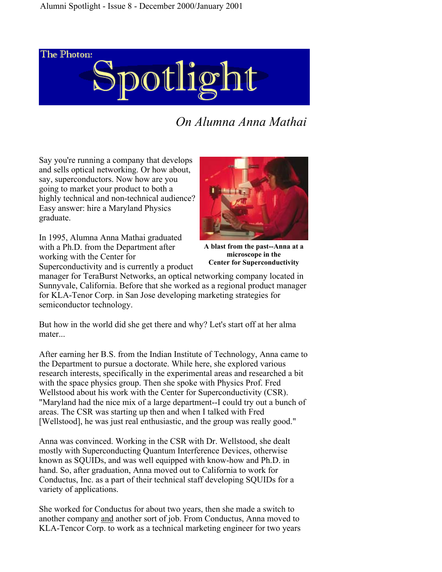

## *On Alumna Anna Mathai*

Say you're running a company that develops and sells optical networking. Or how about, say, superconductors. Now how are you going to market your product to both a highly technical and non-technical audience? Easy answer: hire a Maryland Physics graduate.

In 1995, Alumna Anna Mathai graduated with a Ph.D. from the Department after working with the Center for Superconductivity and is currently a product



**A blast from the past--Anna at a microscope in the Center for Superconductivity** 

manager for TeraBurst Networks, an optical networking company located in Sunnyvale, California. Before that she worked as a regional product manager for KLA-Tenor Corp. in San Jose developing marketing strategies for semiconductor technology.

But how in the world did she get there and why? Let's start off at her alma mater...

After earning her B.S. from the Indian Institute of Technology, Anna came to the Department to pursue a doctorate. While here, she explored various research interests, specifically in the experimental areas and researched a bit with the space physics group. Then she spoke with Physics Prof. Fred Wellstood about his work with the Center for Superconductivity (CSR). "Maryland had the nice mix of a large department--I could try out a bunch of areas. The CSR was starting up then and when I talked with Fred [Wellstood], he was just real enthusiastic, and the group was really good."

Anna was convinced. Working in the CSR with Dr. Wellstood, she dealt mostly with Superconducting Quantum Interference Devices, otherwise known as SQUIDs, and was well equipped with know-how and Ph.D. in hand. So, after graduation, Anna moved out to California to work for Conductus, Inc. as a part of their technical staff developing SQUIDs for a variety of applications.

She worked for Conductus for about two years, then she made a switch to another company and another sort of job. From Conductus, Anna moved to KLA-Tencor Corp. to work as a technical marketing engineer for two years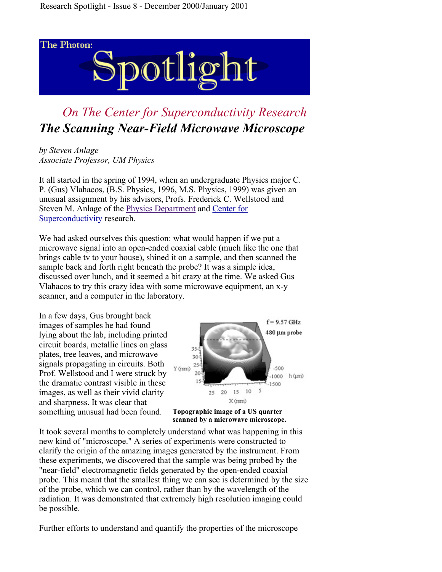

## *On The Center for Superconductivity Research The Scanning Near-Field Microwave Microscope*

*by Steven Anlage Associate Professor, UM Physics* 

It all started in the spring of 1994, when an undergraduate Physics major C. P. (Gus) Vlahacos, (B.S. Physics, 1996, M.S. Physics, 1999) was given an unusual assignment by his advisors, Profs. Frederick C. Wellstood and Steven M. Anlage of the Physics Department and Center for Superconductivity research.

We had asked ourselves this question: what would happen if we put a microwave signal into an open-ended coaxial cable (much like the one that brings cable tv to your house), shined it on a sample, and then scanned the sample back and forth right beneath the probe? It was a simple idea, discussed over lunch, and it seemed a bit crazy at the time. We asked Gus Vlahacos to try this crazy idea with some microwave equipment, an x-y scanner, and a computer in the laboratory.

In a few days, Gus brought back images of samples he had found lying about the lab, including printed circuit boards, metallic lines on glass plates, tree leaves, and microwave signals propagating in circuits. Both Prof. Wellstood and I were struck by the dramatic contrast visible in these images, as well as their vivid clarity and sharpness. It was clear that something unusual had been found.



**Topographic image of a US quarter scanned by a microwave microscope.**

It took several months to completely understand what was happening in this new kind of "microscope." A series of experiments were constructed to clarify the origin of the amazing images generated by the instrument. From these experiments, we discovered that the sample was being probed by the "near-field" electromagnetic fields generated by the open-ended coaxial probe. This meant that the smallest thing we can see is determined by the size of the probe, which we can control, rather than by the wavelength of the radiation. It was demonstrated that extremely high resolution imaging could be possible.

Further efforts to understand and quantify the properties of the microscope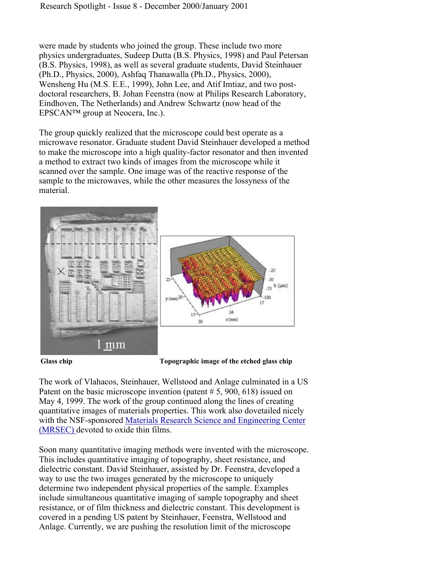were made by students who joined the group. These include two more physics undergraduates, Sudeep Dutta (B.S. Physics, 1998) and Paul Petersan (B.S. Physics, 1998), as well as several graduate students, David Steinhauer (Ph.D., Physics, 2000), Ashfaq Thanawalla (Ph.D., Physics, 2000), Wensheng Hu (M.S. E.E., 1999), John Lee, and Atif Imtiaz, and two postdoctoral researchers, B. Johan Feenstra (now at Philips Research Laboratory, Eindhoven, The Netherlands) and Andrew Schwartz (now head of the EPSCAN™ group at Neocera, Inc.).

The group quickly realized that the microscope could best operate as a microwave resonator. Graduate student David Steinhauer developed a method to make the microscope into a high quality-factor resonator and then invented a method to extract two kinds of images from the microscope while it scanned over the sample. One image was of the reactive response of the sample to the microwaves, while the other measures the lossyness of the material.





**Glass chip Topographic image of the etched glass chip**

The work of Vlahacos, Steinhauer, Wellstood and Anlage culminated in a US Patent on the basic microscope invention (patent # 5, 900, 618) issued on May 4, 1999. The work of the group continued along the lines of creating quantitative images of materials properties. This work also dovetailed nicely with the NSF-sponsored Materials Research Science and Engineering Center (MRSEC) devoted to oxide thin films.

Soon many quantitative imaging methods were invented with the microscope. This includes quantitative imaging of topography, sheet resistance, and dielectric constant. David Steinhauer, assisted by Dr. Feenstra, developed a way to use the two images generated by the microscope to uniquely determine two independent physical properties of the sample. Examples include simultaneous quantitative imaging of sample topography and sheet resistance, or of film thickness and dielectric constant. This development is covered in a pending US patent by Steinhauer, Feenstra, Wellstood and Anlage. Currently, we are pushing the resolution limit of the microscope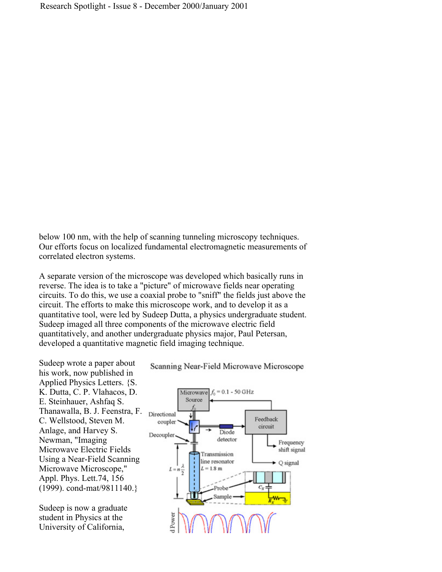below 100 nm, with the help of scanning tunneling microscopy techniques. Our efforts focus on localized fundamental electromagnetic measurements of correlated electron systems.

A separate version of the microscope was developed which basically runs in reverse. The idea is to take a "picture" of microwave fields near operating circuits. To do this, we use a coaxial probe to "sniff" the fields just above the circuit. The efforts to make this microscope work, and to develop it as a quantitative tool, were led by Sudeep Dutta, a physics undergraduate student. Sudeep imaged all three components of the microwave electric field quantitatively, and another undergraduate physics major, Paul Petersan, developed a quantitative magnetic field imaging technique.

Sudeep wrote a paper about his work, now published in Applied Physics Letters. {S. K. Dutta, C. P. Vlahacos, D. E. Steinhauer, Ashfaq S. Thanawalla, B. J. Feenstra, F. C. Wellstood, Steven M. Anlage, and Harvey S. Newman, "Imaging Microwave Electric Fields Using a Near-Field Scanning Microwave Microscope," Appl. Phys. Lett.74, 156 (1999). cond-mat/9811140.}

Sudeep is now a graduate student in Physics at the University of California,



## Scanning Near-Field Microwave Microscope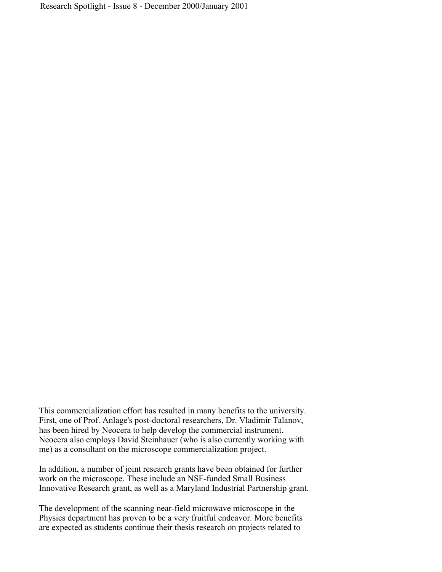Research Spotlight - Issue 8 - December 2000/January 2001

This commercialization effort has resulted in many benefits to the university. First, one of Prof. Anlage's post-doctoral researchers, Dr. Vladimir Talanov, has been hired by Neocera to help develop the commercial instrument. Neocera also employs David Steinhauer (who is also currently working with me) as a consultant on the microscope commercialization project.

In addition, a number of joint research grants have been obtained for further work on the microscope. These include an NSF-funded Small Business Innovative Research grant, as well as a Maryland Industrial Partnership grant.

The development of the scanning near-field microwave microscope in the Physics department has proven to be a very fruitful endeavor. More benefits are expected as students continue their thesis research on projects related to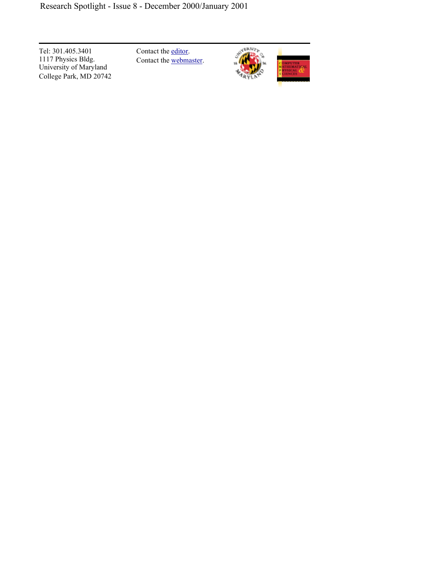Tel: 301.405.3401 1117 Physics Bldg. University of Maryland College Park, MD 20742 Contact the editor. Contact the webmaster.

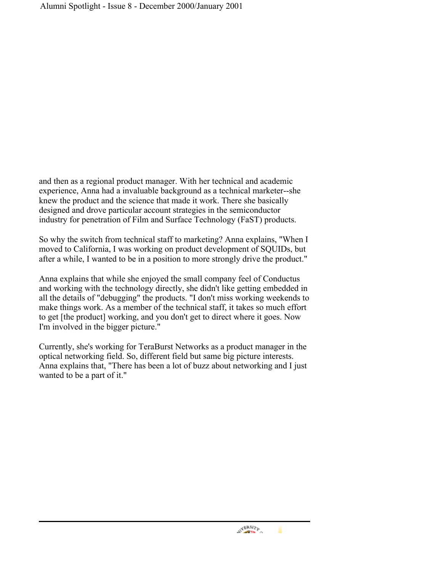and then as a regional product manager. With her technical and academic experience, Anna had a invaluable background as a technical marketer--she knew the product and the science that made it work. There she basically designed and drove particular account strategies in the semiconductor industry for penetration of Film and Surface Technology (FaST) products.

So why the switch from technical staff to marketing? Anna explains, "When I moved to California, I was working on product development of SQUIDs, but after a while, I wanted to be in a position to more strongly drive the product."

Anna explains that while she enjoyed the small company feel of Conductus and working with the technology directly, she didn't like getting embedded in all the details of "debugging" the products. "I don't miss working weekends to make things work. As a member of the technical staff, it takes so much effort to get [the product] working, and you don't get to direct where it goes. Now I'm involved in the bigger picture."

Currently, she's working for TeraBurst Networks as a product manager in the optical networking field. So, different field but same big picture interests. Anna explains that, "There has been a lot of buzz about networking and I just wanted to be a part of it."